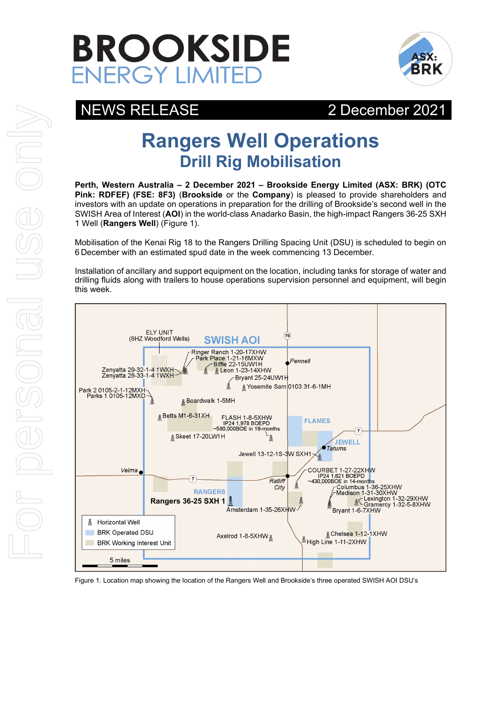



## NEWS RELEASE 2December 2021

# **Rangers Well Operations Drill Rig Mobilisation**

**Perth, Western Australia – 2 December 2021 – Brookside Energy Limited (ASX: BRK) (OTC Pink: RDFEF) (FSE: 8F3)** (**Brookside** or the **Company**) is pleased to provide shareholders and investors with an update on operations in preparation for the drilling of Brookside's second well in the SWISH Area of Interest (**AOI**) in the world-class Anadarko Basin, the high-impact Rangers 36-25 SXH 1 Well (**Rangers Well**) (Figure 1).

Mobilisation of the Kenai Rig 18 to the Rangers Drilling Spacing Unit (DSU) is scheduled to begin on 6 December with an estimated spud date in the week commencing 13 December.

Installation of ancillary and support equipment on the location, including tanks for storage of water and drilling fluids along with trailers to house operations supervision personnel and equipment, will begin this week.



Figure 1. Location map showing the location of the Rangers Well and Brookside's three operated SWISH AOI DSU's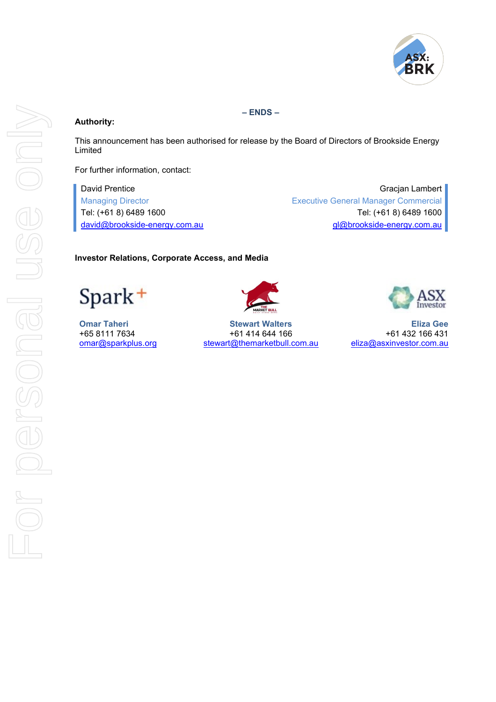

### **Authority:**

**– ENDS –**

This announcement has been authorised for release by the Board of Directors of Brookside Energy Limited

For further information, contact:

David Prentice Gracjan Lambert Gracjan Lambert Gracjan Lambert Gracjan Lambert Gracjan Lambert Managing Director Executive General Manager Commercial Tel: (+61 8) 6489 1600 Tel: (+61 8) 6489 1600 [david@brookside-energy.com.au](mailto:david@brookside-energy.com.au) comes and avid@brookside-energy.com.au

#### **Investor Relations, Corporate Access, and Media**

Spark<sup>+</sup>



**Omar Taheri Stewart Walters Eliza Gee** +65 8111 7634 +61 414 644 166 +61 414 644 166<br>omar@sparkplus.org stewart@themarketbull.com.au eliza@asxinvestor.com.au [stewart@themarketbull.com.au](mailto:stewart@themarketbull.com.au)

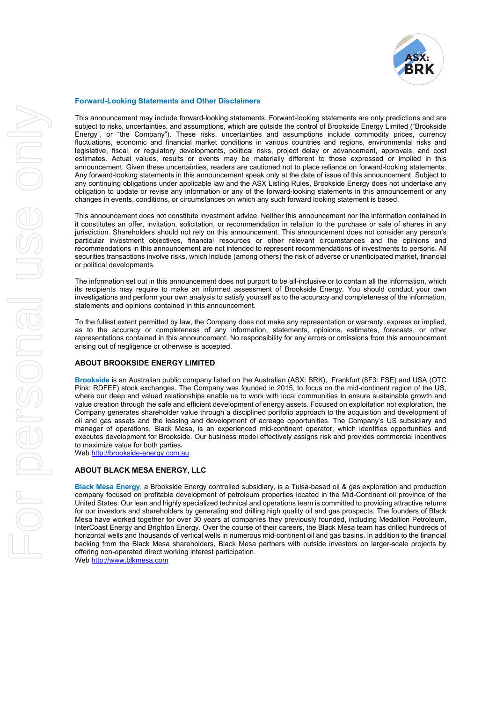

#### **Forward-Looking Statements and Other Disclaimers**

This announcement may include forward-looking statements. Forward-looking statements are only predictions and are subject to risks, uncertainties, and assumptions, which are outside the control of Brookside Energy Limited ("Brookside Energy", or "the Company"). These risks, uncertainties and assumptions include commodity prices, currency fluctuations, economic and financial market conditions in various countries and regions, environmental risks and legislative, fiscal, or regulatory developments, political risks, project delay or advancement, approvals, and cost estimates. Actual values, results or events may be materially different to those expressed or implied in this announcement. Given these uncertainties, readers are cautioned not to place reliance on forward-looking statements. Any forward-looking statements in this announcement speak only at the date of issue of this announcement. Subject to any continuing obligations under applicable law and the ASX Listing Rules, Brookside Energy does not undertake any obligation to update or revise any information or any of the forward-looking statements in this announcement or any changes in events, conditions, or circumstances on which any such forward looking statement is based.

This announcement does not constitute investment advice. Neither this announcement nor the information contained in it constitutes an offer, invitation, solicitation, or recommendation in relation to the purchase or sale of shares in any jurisdiction. Shareholders should not rely on this announcement. This announcement does not consider any person's particular investment objectives, financial resources or other relevant circumstances and the opinions and recommendations in this announcement are not intended to represent recommendations of investments to persons. All securities transactions involve risks, which include (among others) the risk of adverse or unanticipated market, financial or political developments.

The information set out in this announcement does not purport to be all-inclusive or to contain all the information, which its recipients may require to make an informed assessment of Brookside Energy. You should conduct your own investigations and perform your own analysis to satisfy yourself as to the accuracy and completeness of the information, statements and opinions contained in this announcement.

To the fullest extent permitted by law, the Company does not make any representation or warranty, express or implied, as to the accuracy or completeness of any information, statements, opinions, estimates, forecasts, or other representations contained in this announcement. No responsibility for any errors or omissions from this announcement arising out of negligence or otherwise is accepted.

#### **ABOUT BROOKSIDE ENERGY LIMITED**

**Brookside** is an Australian public company listed on the Australian (ASX: BRK), Frankfurt (8F3: FSE) and USA (OTC Pink: RDFEF) stock exchanges. The Company was founded in 2015, to focus on the mid-continent region of the US, where our deep and valued relationships enable us to work with local communities to ensure sustainable growth and value creation through the safe and efficient development of energy assets. Focused on exploitation not exploration, the Company generates shareholder value through a disciplined portfolio approach to the acquisition and development of oil and gas assets and the leasing and development of acreage opportunities. The Company's US subsidiary and manager of operations, Black Mesa, is an experienced mid-continent operator, which identifies opportunities and executes development for Brookside. Our business model effectively assigns risk and provides commercial incentives to maximize value for both parties**.** 

We[b http://brookside-energy.com.au](http://brookside-energy.com.au/)

#### **ABOUT BLACK MESA ENERGY, LLC**

**Black Mesa Energy**, a Brookside Energy controlled subsidiary, is a Tulsa-based oil & gas exploration and production company focused on profitable development of petroleum properties located in the Mid-Continent oil province of the United States. Our lean and highly specialized technical and operations team is committed to providing attractive returns for our investors and shareholders by generating and drilling high quality oil and gas prospects. The founders of Black Mesa have worked together for over 30 years at companies they previously founded, including Medallion Petroleum, InterCoast Energy and Brighton Energy. Over the course of their careers, the Black Mesa team has drilled hundreds of horizontal wells and thousands of vertical wells in numerous mid-continent oil and gas basins. In addition to the financial backing from the Black Mesa shareholders, Black Mesa partners with outside investors on larger-scale projects by offering non-operated direct working interest participation. We[b http://www.blkmesa.com](http://www.blkmesa.com/)